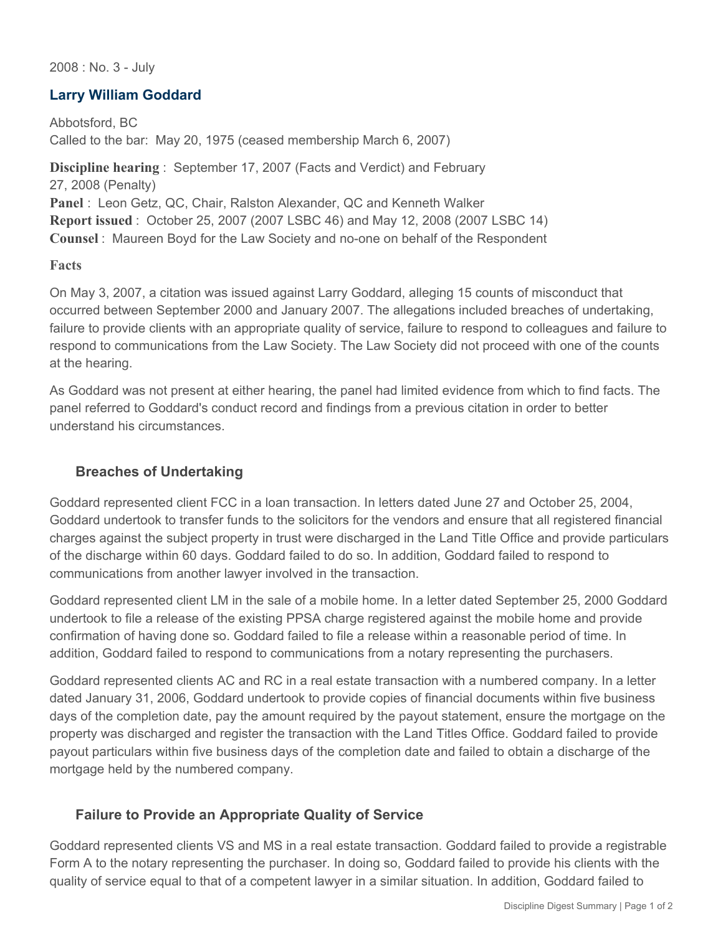2008 : No. 3 - July

# **Larry William Goddard**

Abbotsford, BC Called to the bar: May 20, 1975 (ceased membership March 6, 2007)

**Discipline hearing** : September 17, 2007 (Facts and Verdict) and February 27, 2008 (Penalty) **Panel** : Leon Getz, QC, Chair, Ralston Alexander, QC and Kenneth Walker **Report issued** : October 25, 2007 (2007 LSBC 46) and May 12, 2008 (2007 LSBC 14) **Counsel** : Maureen Boyd for the Law Society and no-one on behalf of the Respondent

### **Facts**

On May 3, 2007, a citation was issued against Larry Goddard, alleging 15 counts of misconduct that occurred between September 2000 and January 2007. The allegations included breaches of undertaking, failure to provide clients with an appropriate quality of service, failure to respond to colleagues and failure to respond to communications from the Law Society. The Law Society did not proceed with one of the counts at the hearing.

As Goddard was not present at either hearing, the panel had limited evidence from which to find facts. The panel referred to Goddard's conduct record and findings from a previous citation in order to better understand his circumstances.

# **Breaches of Undertaking**

Goddard represented client FCC in a loan transaction. In letters dated June 27 and October 25, 2004, Goddard undertook to transfer funds to the solicitors for the vendors and ensure that all registered financial charges against the subject property in trust were discharged in the Land Title Office and provide particulars of the discharge within 60 days. Goddard failed to do so. In addition, Goddard failed to respond to communications from another lawyer involved in the transaction.

Goddard represented client LM in the sale of a mobile home. In a letter dated September 25, 2000 Goddard undertook to file a release of the existing PPSA charge registered against the mobile home and provide confirmation of having done so. Goddard failed to file a release within a reasonable period of time. In addition, Goddard failed to respond to communications from a notary representing the purchasers.

Goddard represented clients AC and RC in a real estate transaction with a numbered company. In a letter dated January 31, 2006, Goddard undertook to provide copies of financial documents within five business days of the completion date, pay the amount required by the payout statement, ensure the mortgage on the property was discharged and register the transaction with the Land Titles Office. Goddard failed to provide payout particulars within five business days of the completion date and failed to obtain a discharge of the mortgage held by the numbered company.

### **Failure to Provide an Appropriate Quality of Service**

Goddard represented clients VS and MS in a real estate transaction. Goddard failed to provide a registrable Form A to the notary representing the purchaser. In doing so, Goddard failed to provide his clients with the quality of service equal to that of a competent lawyer in a similar situation. In addition, Goddard failed to